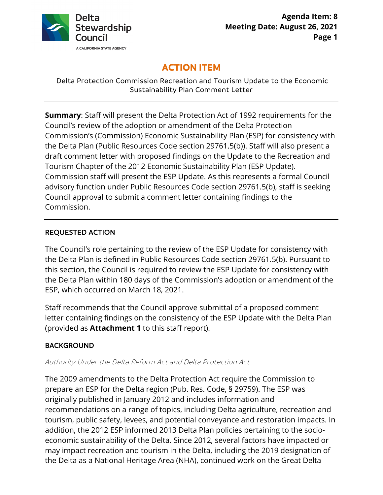

# **ACTION ITEM**

Delta Protection Commission Recreation and Tourism Update to the Economic Sustainability Plan Comment Letter

 **Summary**: Staff will present the Delta Protection Act of 1992 requirements for the Tourism Chapter of the 2012 Economic Sustainability Plan (ESP Update). advisory function under Public Resources Code section 29761.5(b), staff is seeking Council's review of the adoption or amendment of the Delta Protection Commission's (Commission) Economic Sustainability Plan (ESP) for consistency with the Delta Plan (Public Resources Code section 29761.5(b)). Staff will also present a draft comment letter with proposed findings on the Update to the Recreation and Commission staff will present the ESP Update. As this represents a formal Council Council approval to submit a comment letter containing findings to the Commission.

### REQUESTED ACTION

The Council's role pertaining to the review of the ESP Update for consistency with the Delta Plan is defined in Public Resources Code section 29761.5(b). Pursuant to this section, the Council is required to review the ESP Update for consistency with the Delta Plan within 180 days of the Commission's adoption or amendment of the ESP, which occurred on March 18, 2021.

Staff recommends that the Council approve submittal of a proposed comment letter containing findings on the consistency of the ESP Update with the Delta Plan (provided as **Attachment 1** to this staff report).

# BACKGROUND

#### Authority Under the Delta Reform Act and Delta Protection Act

 may impact recreation and tourism in the Delta, including the 2019 designation of The 2009 amendments to the Delta Protection Act require the Commission to prepare an ESP for the Delta region (Pub. Res. Code, § 29759). The ESP was originally published in January 2012 and includes information and recommendations on a range of topics, including Delta agriculture, recreation and tourism, public safety, levees, and potential conveyance and restoration impacts. In addition, the 2012 ESP informed 2013 Delta Plan policies pertaining to the socioeconomic sustainability of the Delta. Since 2012, several factors have impacted or the Delta as a National Heritage Area (NHA), continued work on the Great Delta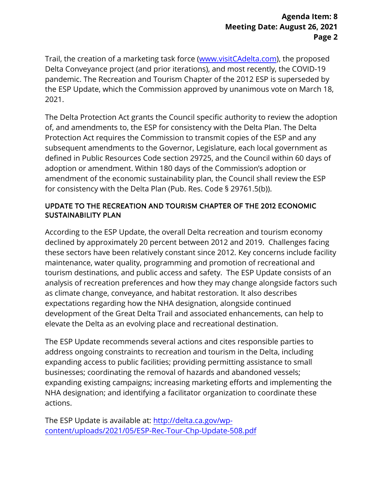Trail, the creation of a marketing task force (<www.visitCAdelta.com>), the proposed Delta Conveyance project (and prior iterations), and most recently, the COVID-19 pandemic. The Recreation and Tourism Chapter of the 2012 ESP is superseded by the ESP Update, which the Commission approved by unanimous vote on March 18, 2021.

 defined in Public Resources Code section 29725, and the Council within 60 days of The Delta Protection Act grants the Council specific authority to review the adoption of, and amendments to, the ESP for consistency with the Delta Plan. The Delta Protection Act requires the Commission to transmit copies of the ESP and any subsequent amendments to the Governor, Legislature, each local government as adoption or amendment. Within 180 days of the Commission's adoption or amendment of the economic sustainability plan, the Council shall review the ESP for consistency with the Delta Plan (Pub. Res. Code § 29761.5(b)).

### UPDATE TO THE RECREATION AND TOURISM CHAPTER OF THE 2012 ECONOMIC SUSTAINABILITY PLAN

 declined by approximately 20 percent between 2012 and 2019. Challenges facing According to the ESP Update, the overall Delta recreation and tourism economy these sectors have been relatively constant since 2012. Key concerns include facility maintenance, water quality, programming and promotion of recreational and tourism destinations, and public access and safety. The ESP Update consists of an analysis of recreation preferences and how they may change alongside factors such as climate change, conveyance, and habitat restoration. It also describes expectations regarding how the NHA designation, alongside continued development of the Great Delta Trail and associated enhancements, can help to elevate the Delta as an evolving place and recreational destination.

 expanding existing campaigns; increasing marketing efforts and implementing the NHA designation; and identifying a facilitator organization to coordinate these The ESP Update recommends several actions and cites responsible parties to address ongoing constraints to recreation and tourism in the Delta, including expanding access to public facilities; providing permitting assistance to small businesses; coordinating the removal of hazards and abandoned vessels; actions.

 content/uploads/2021/05/ESP-[Rec-Tour-Chp-Update-508.pdf](http://delta.ca.gov/wp-content/uploads/2021/05/ESP-Rec-Tour-Chp-Update-508.pdf) The ESP Update is available at: http://delta.ca.gov/wp-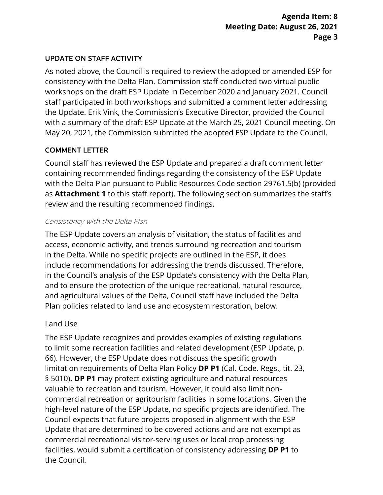### UPDATE ON STAFF ACTIVITY

As noted above, the Council is required to review the adopted or amended ESP for consistency with the Delta Plan. Commission staff conducted two virtual public workshops on the draft ESP Update in December 2020 and January 2021. Council staff participated in both workshops and submitted a comment letter addressing the Update. Erik Vink, the Commission's Executive Director, provided the Council with a summary of the draft ESP Update at the March 25, 2021 Council meeting. On May 20, 2021, the Commission submitted the adopted ESP Update to the Council.

# COMMENT LETTER

Council staff has reviewed the ESP Update and prepared a draft comment letter containing recommended findings regarding the consistency of the ESP Update with the Delta Plan pursuant to Public Resources Code section 29761.5(b) (provided as **Attachment 1** to this staff report). The following section summarizes the staff's review and the resulting recommended findings.

#### Consistency with the Delta Plan

 in the Council's analysis of the ESP Update's consistency with the Delta Plan, and to ensure the protection of the unique recreational, natural resource, The ESP Update covers an analysis of visitation, the status of facilities and access, economic activity, and trends surrounding recreation and tourism in the Delta. While no specific projects are outlined in the ESP, it does include recommendations for addressing the trends discussed. Therefore, and agricultural values of the Delta, Council staff have included the Delta Plan policies related to land use and ecosystem restoration, below.

#### Land Use

 § 5010)**. DP P1** may protect existing agriculture and natural resources The ESP Update recognizes and provides examples of existing regulations to limit some recreation facilities and related development (ESP Update, p. 66). However, the ESP Update does not discuss the specific growth limitation requirements of Delta Plan Policy **DP P1** (Cal. Code. Regs., tit. 23, valuable to recreation and tourism. However, it could also limit noncommercial recreation or agritourism facilities in some locations. Given the high-level nature of the ESP Update, no specific projects are identified. The Council expects that future projects proposed in alignment with the ESP Update that are determined to be covered actions and are not exempt as commercial recreational visitor-serving uses or local crop processing facilities, would submit a certification of consistency addressing **DP P1** to the Council.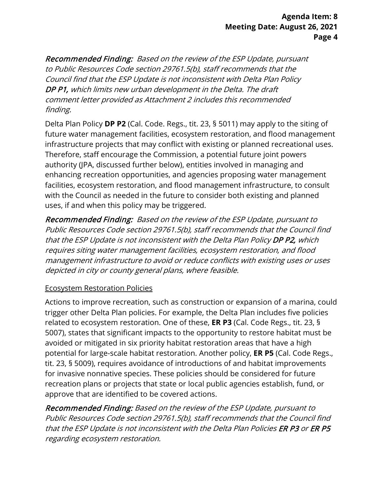Recommended Finding: Based on the review of the ESP Update, pursuant to Public Resources Code section 29761.5(b), staff recommends that the Council find that the ESP Update is not inconsistent with Delta Plan Policy DP P1, which limits new urban development in the Delta. The draft comment letter provided as Attachment 2 includes this recommended finding.

 Therefore, staff encourage the Commission, a potential future joint powers Delta Plan Policy **DP P2** (Cal. Code. Regs., tit. 23, § 5011) may apply to the siting of future water management facilities, ecosystem restoration, and flood management infrastructure projects that may conflict with existing or planned recreational uses. authority (JPA, discussed further below), entities involved in managing and enhancing recreation opportunities, and agencies proposing water management facilities, ecosystem restoration, and flood management infrastructure, to consult with the Council as needed in the future to consider both existing and planned uses, if and when this policy may be triggered.

 Recommended Finding: Based on the review of the ESP Update, pursuant to Public Resources Code section 29761.5(b), staff recommends that the Council find that the ESP Update is not inconsistent with the Delta Plan Policy DP P2, which requires siting water management facilities, ecosystem restoration, and flood management infrastructure to avoid or reduce conflicts with existing uses or uses depicted in city or county general plans, where feasible.

# Ecosystem Restoration Policies

 related to ecosystem restoration. One of these, **ER P3** (Cal. Code Regs., tit. 23, § approve that are identified to be covered actions. Actions to improve recreation, such as construction or expansion of a marina, could trigger other Delta Plan policies. For example, the Delta Plan includes five policies 5007), states that significant impacts to the opportunity to restore habitat must be avoided or mitigated in six priority habitat restoration areas that have a high potential for large-scale habitat restoration. Another policy, **ER P5** (Cal. Code Regs., tit. 23, § 5009), requires avoidance of introductions of and habitat improvements for invasive nonnative species. These policies should be considered for future recreation plans or projects that state or local public agencies establish, fund, or

Recommended Finding: Based on the review of the ESP Update, pursuant to Public Resources Code section 29761.5(b), staff recommends that the Council find that the ESP Update is not inconsistent with the Delta Plan Policies ER P3 or ER P5 regarding ecosystem restoration.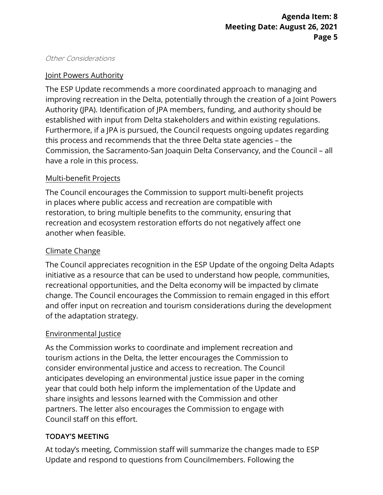#### Other Considerations

## Joint Powers Authority

 improving recreation in the Delta, potentially through the creation of a Joint Powers Commission, the Sacramento-San Joaquin Delta Conservancy, and the Council – all The ESP Update recommends a more coordinated approach to managing and Authority (JPA). Identification of JPA members, funding, and authority should be established with input from Delta stakeholders and within existing regulations. Furthermore, if a JPA is pursued, the Council requests ongoing updates regarding this process and recommends that the three Delta state agencies – the have a role in this process.

### Multi-benefit Projects

The Council encourages the Commission to support multi-benefit projects in places where public access and recreation are compatible with restoration, to bring multiple benefits to the community, ensuring that recreation and ecosystem restoration efforts do not negatively affect one another when feasible.

## Climate Change

 The Council appreciates recognition in the ESP Update of the ongoing Delta Adapts initiative as a resource that can be used to understand how people, communities, recreational opportunities, and the Delta economy will be impacted by climate change. The Council encourages the Commission to remain engaged in this effort and offer input on recreation and tourism considerations during the development of the adaptation strategy.

#### Environmental Justice

As the Commission works to coordinate and implement recreation and tourism actions in the Delta, the letter encourages the Commission to consider environmental justice and access to recreation. The Council anticipates developing an environmental justice issue paper in the coming year that could both help inform the implementation of the Update and share insights and lessons learned with the Commission and other partners. The letter also encourages the Commission to engage with Council staff on this effort.

# TODAY'S MEETING

 At today's meeting, Commission staff will summarize the changes made to ESP Update and respond to questions from Councilmembers. Following the